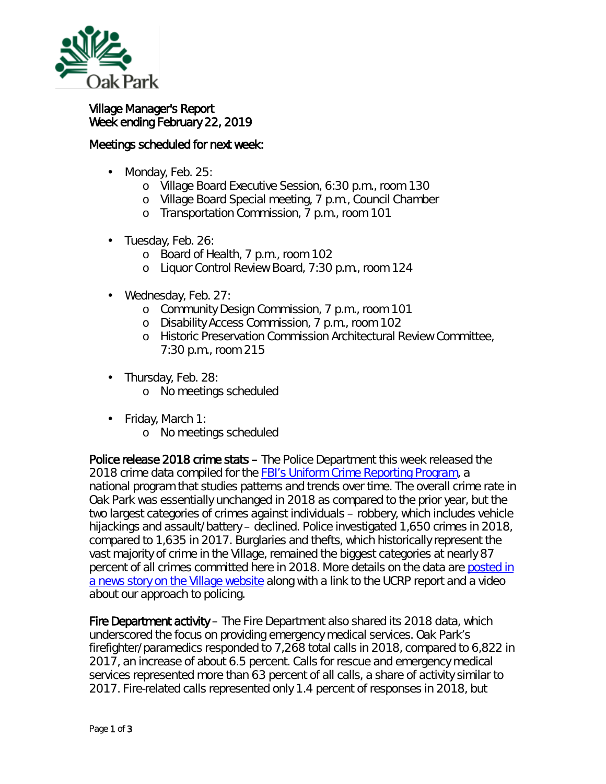

## Village Manager's Report Week ending February 22, 2019

## Meetings scheduled for next week:

- Monday, Feb. 25: ä,
	- o Village Board Executive Session, 6:30 p.m., room 130
	- o Village Board Special meeting, 7 p.m., Council Chamber
	- o Transportation Commission, 7 p.m., room 101
- Tuesday, Feb. 26:
	- o Board of Health, 7 p.m., room 102
	- o Liquor Control Review Board, 7:30 p.m., room 124
- Wednesday, Feb. 27:
	- o Community Design Commission, 7 p.m., room 101
	- o Disability Access Commission, 7 p.m., room 102
	- o Historic Preservation Commission Architectural Review Committee, 7:30 p.m., room 215
- Thursday, Feb. 28:  $\blacksquare$ 
	- o No meetings scheduled
- Friday, March 1:  $\mathbf{r}$ 
	- o No meetings scheduled

Police release 2018 crime stats – The Police Department this week released the 2018 crime data compiled for the **FBI's Uniform Crime Reporting Program**, a national program that studies patterns and trends over time. The overall crime rate in Oak Park was essentially unchanged in 2018 as compared to the prior year, but the two largest categories of crimes against individuals – robbery, which includes vehicle hijackings and assault/battery – declined. Police investigated 1,650 crimes in 2018, compared to 1,635 in 2017. Burglaries and thefts, which historically represent the vast majority of crime in the Village, remained the biggest categories at nearly 87 percent of all crimes committed here in 2018. More details on the data are [posted in](https://www.oak-park.us/news/police-release-2018-crime-statistics)  [a news story on the Village website](https://www.oak-park.us/news/police-release-2018-crime-statistics) along with a link to the UCRP report and a video about our approach to policing.

Fire Department activity – The Fire Department also shared its 2018 data, which underscored the focus on providing emergency medical services. Oak Park's firefighter/paramedics responded to 7,268 total calls in 2018, compared to 6,822 in 2017, an increase of about 6.5 percent. Calls for rescue and emergency medical services represented more than 63 percent of all calls, a share of activity similar to 2017. Fire-related calls represented only 1.4 percent of responses in 2018, but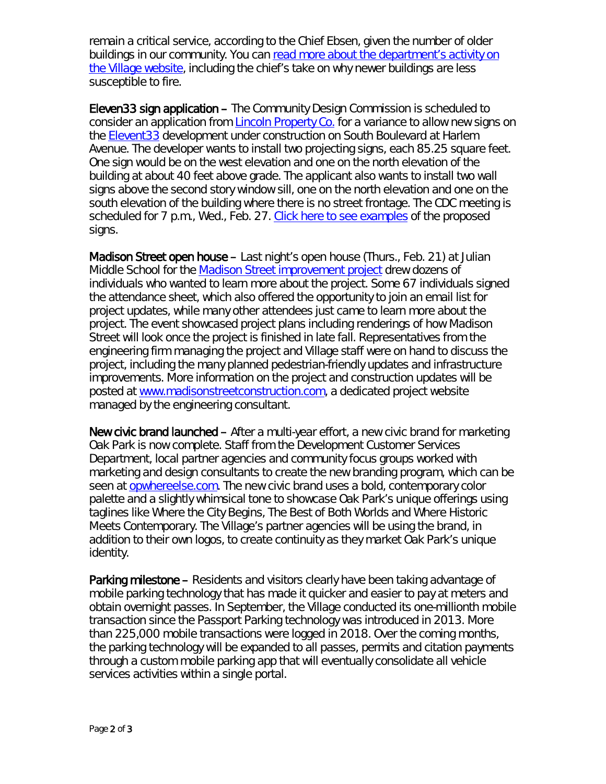remain a critical service, according to the Chief Ebsen, given the number of older buildings in our community. You can [read more about the department's activity on](https://www.oak-park.us/news/calls-fire-department-increase-2018)  [the Village website,](https://www.oak-park.us/news/calls-fire-department-increase-2018) including the chief's take on why newer buildings are less susceptible to fire.

Eleven33 sign application – The Community Design Commission is scheduled to consider an application from [Lincoln Property Co.](https://www.lincolnapts.com/) for a variance to allow new signs on the **Elevent33** development under construction on South Boulevard at Harlem Avenue. The developer wants to install two projecting signs, each 85.25 square feet. One sign would be on the west elevation and one on the north elevation of the building at about 40 feet above grade. The applicant also wants to install two wall signs above the second story window sill, one on the north elevation and one on the south elevation of the building where there is no street frontage. The CDC meeting is scheduled for 7 p.m., Wed., Feb. 27. [Click here to see examples](https://www.oak-park.us/sites/default/files/456678891/1133-south-boulevard-sign-application-renditions.pdf) of the proposed signs.

Madison Street open house – Last night's open house (Thurs., Feb. 21) at Julian Middle School for the [Madison Street improvement project](https://www.oak-park.us/news/open-house-set-madison-street-improvements-project) drew dozens of individuals who wanted to learn more about the project. Some 67 individuals signed the attendance sheet, which also offered the opportunity to join an email list for project updates, while many other attendees just came to learn more about the project. The event showcased project plans including renderings of how Madison Street will look once the project is finished in late fall. Representatives from the engineering firm managing the project and Village staff were on hand to discuss the project, including the many planned pedestrian-friendly updates and infrastructure improvements. More information on the project and construction updates will be posted at [www.madisonstreetconstruction.com,](http://www.madisonstreetconstruction.com/) a dedicated project website managed by the engineering consultant.

New civic brand launched – After a multi-year effort, a new civic brand for marketing Oak Park is now complete. Staff from the Development Customer Services Department, local partner agencies and community focus groups worked with marketing and design consultants to create the new branding program, which can be seen at [opwhereelse.com.](http://opwhereelse.com/) The new civic brand uses a bold, contemporary color palette and a slightly whimsical tone to showcase Oak Park's unique offerings using taglines like *Where the City Begins*, *The Best of Both Worlds* and *Where Historic Meets Contemporary*. The Village's partner agencies will be using the brand, in addition to their own logos, to create continuity as they market Oak Park's unique identity.

Parking milestone – Residents and visitors clearly have been taking advantage of mobile parking technology that has made it quicker and easier to pay at meters and obtain overnight passes. In September, the Village conducted its one-millionth mobile transaction since the Passport Parking technology was introduced in 2013. More than 225,000 mobile transactions were logged in 2018. Over the coming months, the parking technology will be expanded to all passes, permits and citation payments through a custom mobile parking app that will eventually consolidate all vehicle services activities within a single portal.